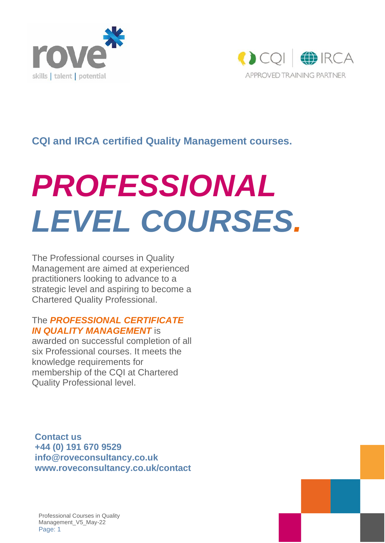



#### **CQI and IRCA certified Quality Management courses.**

# *PROFESSIONAL LEVEL COURSES.*

The Professional courses in Quality Management are aimed at experienced practitioners looking to advance to a strategic level and aspiring to become a Chartered Quality Professional.

#### The *PROFESSIONAL CERTIFICATE IN QUALITY MANAGEMENT* is

awarded on successful completion of all six Professional courses. It meets the knowledge requirements for membership of the CQI at Chartered Quality Professional level.

**Contact us +44 (0) 191 670 9529 [info@roveconsultancy.co.uk](mailto:info@roveconsultancy.co.uk) www.roveconsultancy.co.uk/contact**

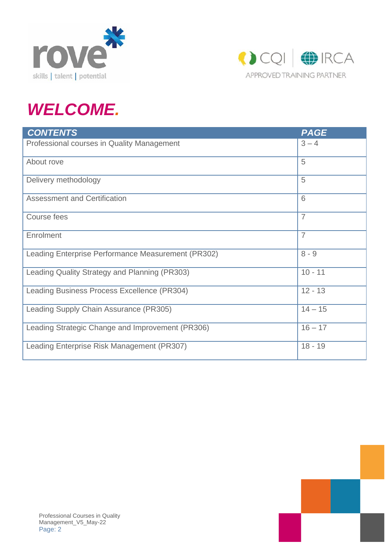



# *WELCOME.*

| <b>CONTENTS</b>                                    | <b>PAGE</b>    |
|----------------------------------------------------|----------------|
| Professional courses in Quality Management         | $3 - 4$        |
| About rove                                         | 5              |
| Delivery methodology                               | 5              |
| <b>Assessment and Certification</b>                | 6              |
| Course fees                                        | $\overline{7}$ |
| Enrolment                                          | $\overline{7}$ |
| Leading Enterprise Performance Measurement (PR302) | $8 - 9$        |
| Leading Quality Strategy and Planning (PR303)      | $10 - 11$      |
| Leading Business Process Excellence (PR304)        | $12 - 13$      |
| Leading Supply Chain Assurance (PR305)             | $14 - 15$      |
| Leading Strategic Change and Improvement (PR306)   | $16 - 17$      |
| Leading Enterprise Risk Management (PR307)         | $18 - 19$      |

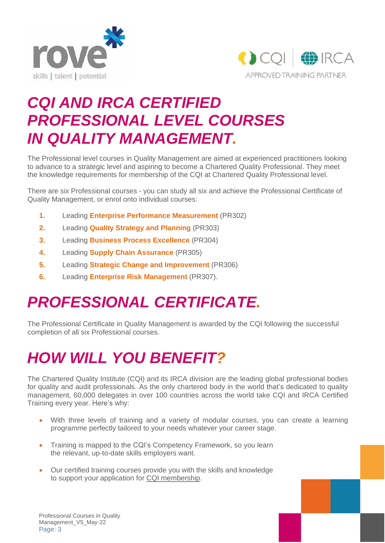



### *CQI AND IRCA CERTIFIED PROFESSIONAL LEVEL COURSES IN QUALITY MANAGEMENT.*

The Professional level courses in Quality Management are aimed at experienced practitioners looking to advance to a strategic level and aspiring to become a Chartered Quality Professional. They meet the knowledge requirements for membership of the CQI at Chartered Quality Professional level.

There are six Professional courses - you can study all six and achieve the Professional Certificate of Quality Management, or enrol onto individual courses:

- **1.** Leading **Enterprise Performance Measurement** (PR302)
- **2.** Leading **Quality Strategy and Planning** (PR303)
- **3.** Leading **Business Process Excellence** (PR304)
- **4.** Leading **Supply Chain Assurance** (PR305)
- **5.** Leading **Strategic Change and Improvement** (PR306)
- **6.** Leading **Enterprise Risk Management** (PR307).

### *PROFESSIONAL CERTIFICATE.*

The Professional Certificate in Quality Management is awarded by the CQI following the successful completion of all six Professional courses.

### *HOW WILL YOU BENEFIT?*

The Chartered Quality Institute (CQI) and its IRCA division are the leading global professional bodies for quality and audit professionals. As the only chartered body in the world that's dedicated to quality management, 60,000 delegates in over 100 countries across the world take CQI and IRCA Certified Training every year. Here's why:

- With three levels of training and a variety of modular courses, you can create a learning programme perfectly tailored to your needs whatever your career stage.
- Training is mapped to the CQI's Competency Framework, so you learn the relevant, up-to-date skills employers want.
- Our certified training courses provide you with the skills and knowledge to support your application for CQI [membership.](https://www.quality.org/cqimembership-become-member)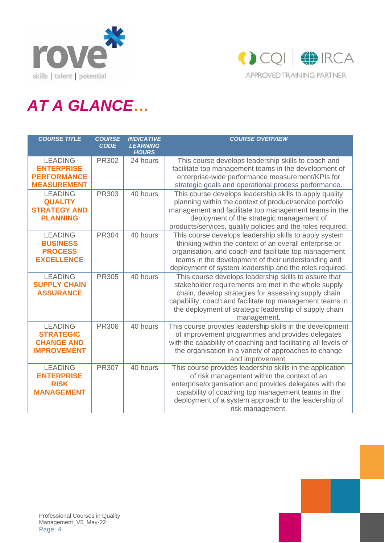



# *AT A GLANCE…*

| <b>COURSE TITLE</b>                                                             | <b>COURSE</b><br><b>CODE</b> | <b>INDICATIVE</b><br><b>LEARNING</b><br><b>HOURS</b> | <b>COURSE OVERVIEW</b>                                                                                                                                                                                                                                                                                     |
|---------------------------------------------------------------------------------|------------------------------|------------------------------------------------------|------------------------------------------------------------------------------------------------------------------------------------------------------------------------------------------------------------------------------------------------------------------------------------------------------------|
| <b>LEADING</b><br><b>ENTERPRISE</b><br><b>PERFORMANCE</b><br><b>MEASUREMENT</b> | <b>PR302</b>                 | 24 hours                                             | This course develops leadership skills to coach and<br>facilitate top management teams in the development of<br>enterprise-wide performance measurement/KPIs for<br>strategic goals and operational process performance.                                                                                   |
| <b>LEADING</b><br><b>QUALITY</b><br><b>STRATEGY AND</b><br><b>PLANNING</b>      | PR303                        | 40 hours                                             | This course develops leadership skills to apply quality<br>planning within the context of product/service portfolio<br>management and facilitate top management teams in the<br>deployment of the strategic management of<br>products/services, quality policies and the roles required.                   |
| <b>LEADING</b><br><b>BUSINESS</b><br><b>PROCESS</b><br><b>EXCELLENCE</b>        | <b>PR304</b>                 | 40 hours                                             | This course develops leadership skills to apply system<br>thinking within the context of an overall enterprise or<br>organisation, and coach and facilitate top management<br>teams in the development of their understanding and<br>deployment of system leadership and the roles required.               |
| <b>LEADING</b><br><b>SUPPLY CHAIN</b><br><b>ASSURANCE</b>                       | <b>PR305</b>                 | 40 hours                                             | This course develops leadership skills to assure that<br>stakeholder requirements are met in the whole supply<br>chain, develop strategies for assessing supply chain<br>capability, coach and facilitate top management teams in<br>the deployment of strategic leadership of supply chain<br>management. |
| <b>LEADING</b><br><b>STRATEGIC</b><br><b>CHANGE AND</b><br><b>IMPROVEMENT</b>   | <b>PR306</b>                 | 40 hours                                             | This course provides leadership skills in the development<br>of improvement programmes and provides delegates<br>with the capability of coaching and facilitating all levels of<br>the organisation in a variety of approaches to change<br>and improvement.                                               |
| <b>LEADING</b><br><b>ENTERPRISE</b><br><b>RISK</b><br><b>MANAGEMENT</b>         | <b>PR307</b>                 | 40 hours                                             | This course provides leadership skills in the application<br>of risk management within the context of an<br>enterprise/organisation and provides delegates with the<br>capability of coaching top management teams in the<br>deployment of a system approach to the leadership of<br>risk management.      |

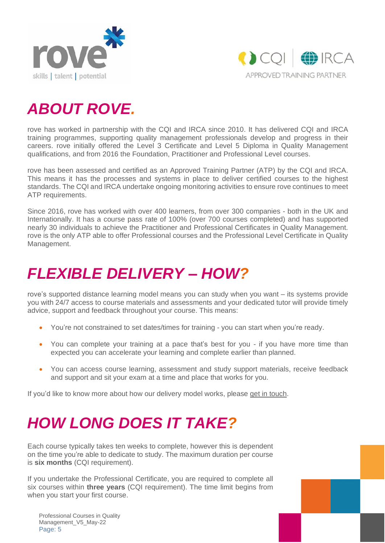



### *ABOUT ROVE.*

rove has worked in partnership with the CQI and IRCA since 2010. It has delivered CQI and IRCA training programmes, supporting quality management professionals develop and progress in their careers. rove initially offered the Level 3 Certificate and Level 5 Diploma in Quality Management qualifications, and from 2016 the Foundation, Practitioner and Professional Level courses.

rove has been assessed and certified as an Approved Training Partner (ATP) by the CQI and IRCA. This means it has the processes and systems in place to deliver certified courses to the highest standards. The CQI and IRCA undertake ongoing monitoring activities to ensure rove continues to meet ATP requirements.

Since 2016, rove has worked with over 400 learners, from over 300 companies - both in the UK and Internationally. It has a course pass rate of 100% (over 700 courses completed) and has supported nearly 30 individuals to achieve the Practitioner and Professional Certificates in Quality Management. rove is the only ATP able to offer Professional courses and the Professional Level Certificate in Quality Management.

### *FLEXIBLE DELIVERY – HOW?*

rove's supported distance learning model means you can study when you want – its systems provide you with 24/7 access to course materials and assessments and your dedicated tutor will provide timely advice, support and feedback throughout your course. This means:

- You're not constrained to set dates/times for training you can start when you're ready.
- You can complete your training at a pace that's best for you if you have more time than expected you can accelerate your learning and complete earlier than planned.
- You can access course learning, assessment and study support materials, receive feedback and support and sit your exam at a time and place that works for you.

If you'd like to know more about how our delivery model works, please get in [touch.](mailto:info@roveconsultancy.co.uk)

### *HOW LONG DOES IT TAKE?*

Each course typically takes ten weeks to complete, however this is dependent on the time you're able to dedicate to study. The maximum duration per course is **six months** (CQI requirement).

If you undertake the Professional Certificate, you are required to complete all six courses within **three years** (CQI requirement). The time limit begins from when you start your first course.

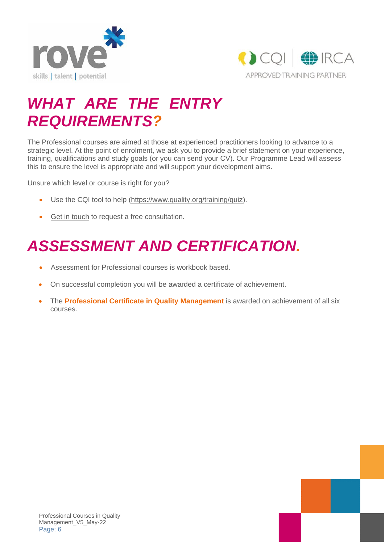



### *WHAT ARE THE ENTRY REQUIREMENTS?*

The Professional courses are aimed at those at experienced practitioners looking to advance to a strategic level. At the point of enrolment, we ask you to provide a brief statement on your experience, training, qualifications and study goals (or you can send your CV). Our Programme Lead will assess this to ensure the level is appropriate and will support your development aims.

Unsure which level or course is right for you?

- Use the CQI tool to help [\(https://www.quality.org/training/quiz\)](https://www.quality.org/training/quiz).
- Get in [touch](mailto:info@roveconsultancy.co.uk) to request a free consultation.

## *ASSESSMENT AND CERTIFICATION.*

- Assessment for Professional courses is workbook based.
- On successful completion you will be awarded a certificate of achievement.
- The **Professional Certificate in Quality Management** is awarded on achievement of all six courses.

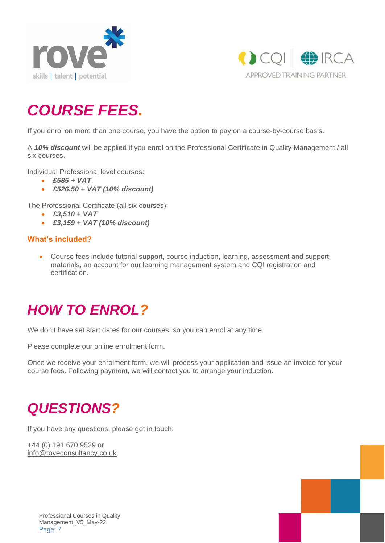



### *COURSE FEES.*

If you enrol on more than one course, you have the option to pay on a course-by-course basis.

A *10% discount* will be applied if you enrol on the Professional Certificate in Quality Management / all six courses.

Individual Professional level courses:

- *£585 + VAT*.
- *£526.50 + VAT (10% discount)*

The Professional Certificate (all six courses):

- *£3,510 + VAT*
- *£3,159 + VAT (10% discount)*

#### **What's included?**

• Course fees include tutorial support, course induction, learning, assessment and support materials, an account for our learning management system and CQI registration and certification.

### *HOW TO ENROL?*

We don't have set start dates for our courses, so you can enrol at any time.

Please complete our online [enrolment](https://www.surveymonkey.co.uk/r/CQIEnrolmentForm) form.

Once we receive your enrolment form, we will process your application and issue an invoice for your course fees. Following payment, we will contact you to arrange your induction.

### *QUESTIONS?*

If you have any questions, please get in touch:

+44 (0) 191 670 9529 or [info@roveconsultancy.co.uk.](mailto:info@roveconsultancy.co.uk)

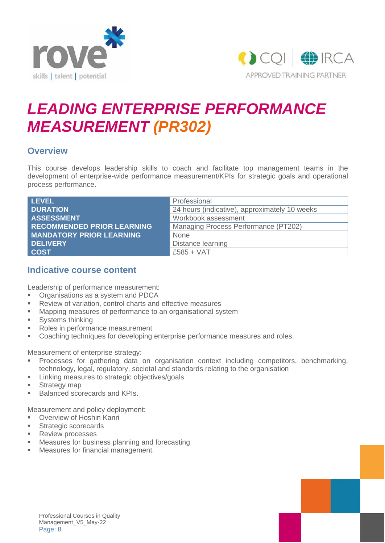



### *LEADING ENTERPRISE PERFORMANCE MEASUREMENT (PR302)*

#### **Overview**

This course develops leadership skills to coach and facilitate top management teams in the development of enterprise-wide performance measurement/KPIs for strategic goals and operational process performance.

| <b>LEVEL</b>                      | Professional                                  |
|-----------------------------------|-----------------------------------------------|
| <b>DURATION</b>                   | 24 hours (indicative), approximately 10 weeks |
| <b>ASSESSMENT</b>                 | Workbook assessment                           |
| <b>RECOMMENDED PRIOR LEARNING</b> | Managing Process Performance (PT202)          |
| <b>MANDATORY PRIOR LEARNING</b>   | None                                          |
| <b>DELIVERY</b>                   | Distance learning                             |
| <b>COST</b>                       | $£585 + VAT$                                  |

#### **Indicative course content**

Leadership of performance measurement:

- Organisations as a system and PDCA
- Review of variation, control charts and effective measures
- Mapping measures of performance to an organisational system
- **■** Systems thinking
- Roles in performance measurement
- Coaching techniques for developing enterprise performance measures and roles.

Measurement of enterprise strategy:

- Processes for gathering data on organisation context including competitors, benchmarking, technology, legal, regulatory, societal and standards relating to the organisation
- **EXECT:** Linking measures to strategic objectives/goals
- **EXPLOM** Strategy map
- Balanced scorecards and KPIs.

Measurement and policy deployment:

- Overview of Hoshin Kanri
- **EXECUTE: Strategic scorecards**
- Review processes
- Measures for business planning and forecasting
- Measures for financial management.

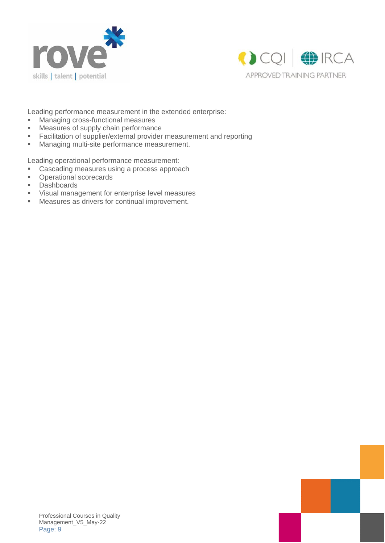



Leading performance measurement in the extended enterprise:

- Managing cross-functional measures
- Measures of supply chain performance
- **EXECTERF Facilitation of supplier/external provider measurement and reporting**
- Managing multi-site performance measurement.

Leading operational performance measurement:

- Cascading measures using a process approach<br>■ Operational scorecards
- Operational scorecards
- Dashboards
- Visual management for enterprise level measures
- Measures as drivers for continual improvement.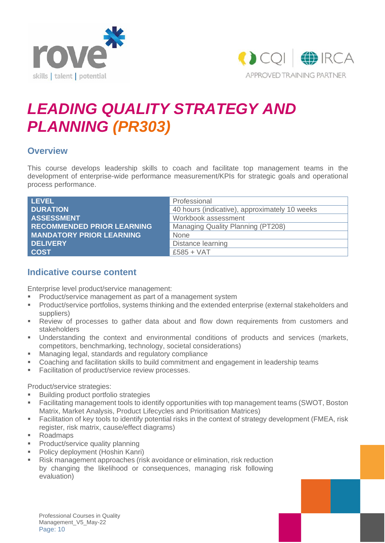



### *LEADING QUALITY STRATEGY AND PLANNING (PR303)*

#### **Overview**

This course develops leadership skills to coach and facilitate top management teams in the development of enterprise-wide performance measurement/KPIs for strategic goals and operational process performance.

| <b>LEVEL</b>                      | Professional                                  |
|-----------------------------------|-----------------------------------------------|
| <b>DURATION</b>                   | 40 hours (indicative), approximately 10 weeks |
| <b>ASSESSMENT</b>                 | Workbook assessment                           |
| <b>RECOMMENDED PRIOR LEARNING</b> | Managing Quality Planning (PT208)             |
| <b>MANDATORY PRIOR LEARNING</b>   | <b>None</b>                                   |
| <b>DELIVERY</b>                   | Distance learning                             |
| <b>COST</b>                       | $£585 + VAT$                                  |

#### **Indicative course content**

Enterprise level product/service management:

- Product/service management as part of a management system
- Product/service portfolios, systems thinking and the extended enterprise (external stakeholders and suppliers)
- Review of processes to gather data about and flow down requirements from customers and stakeholders
- Understanding the context and environmental conditions of products and services (markets, competitors, benchmarking, technology, societal considerations)
- Managing legal, standards and regulatory compliance
- Coaching and facilitation skills to build commitment and engagement in leadership teams
- Facilitation of product/service review processes.

Product/service strategies:

- **Building product portfolio strategies**
- Facilitating management tools to identify opportunities with top management teams (SWOT, Boston Matrix, Market Analysis, Product Lifecycles and Prioritisation Matrices)
- Facilitation of key tools to identify potential risks in the context of strategy development (FMEA, risk register, risk matrix, cause/effect diagrams)
- Roadmaps
- **Product/service quality planning**
- Policy deployment (Hoshin Kanri)
- Risk management approaches (risk avoidance or elimination, risk reduction by changing the likelihood or consequences, managing risk following evaluation)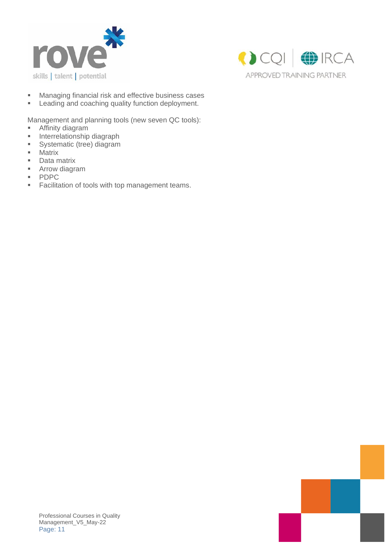



- Managing financial risk and effective business cases
- **EXECTED EXECTED** Leading and coaching quality function deployment.

Management and planning tools (new seven QC tools):

- **EXEDENT** Affinity diagram
- **·** Interrelationship diagraph
- **•** Systematic (tree) diagram
- Matrix
- Data matrix
- Arrow diagram
- PDPC
- Facilitation of tools with top management teams.

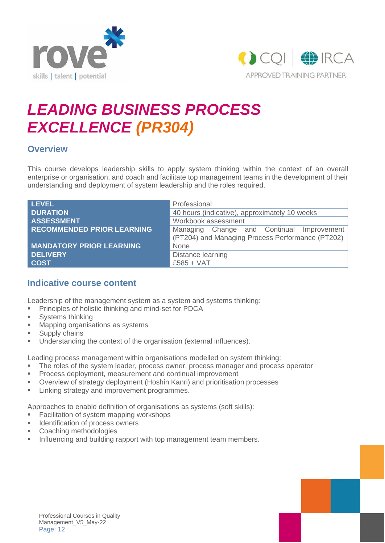



### *LEADING BUSINESS PROCESS EXCELLENCE (PR304)*

#### **Overview**

This course develops leadership skills to apply system thinking within the context of an overall enterprise or organisation, and coach and facilitate top management teams in the development of their understanding and deployment of system leadership and the roles required.

| <b>LEVEL</b>                      | Professional                                     |  |
|-----------------------------------|--------------------------------------------------|--|
| <b>DURATION</b>                   | 40 hours (indicative), approximately 10 weeks    |  |
| <b>ASSESSMENT</b>                 | Workbook assessment                              |  |
| <b>RECOMMENDED PRIOR LEARNING</b> | Managing Change and Continual Improvement        |  |
|                                   | (PT204) and Managing Process Performance (PT202) |  |
| <b>MANDATORY PRIOR LEARNING</b>   | <b>None</b>                                      |  |
| <b>DELIVERY</b>                   | Distance learning                                |  |
| <b>COST</b>                       | $£585 + VAT$                                     |  |

#### **Indicative course content**

Leadership of the management system as a system and systems thinking:

- **·** Principles of holistic thinking and mind-set for PDCA
- Systems thinking
- Mapping organisations as systems
- Supply chains
- Understanding the context of the organisation (external influences).

Leading process management within organisations modelled on system thinking:

- **EXECT** The roles of the system leader, process owner, process manager and process operator
- Process deployment, measurement and continual improvement
- Overview of strategy deployment (Hoshin Kanri) and prioritisation processes
- **EXECT:** Linking strategy and improvement programmes.

Approaches to enable definition of organisations as systems (soft skills):

- **Facilitation of system mapping workshops**
- **■** Identification of process owners
- Coaching methodologies
- **■** Influencing and building rapport with top management team members.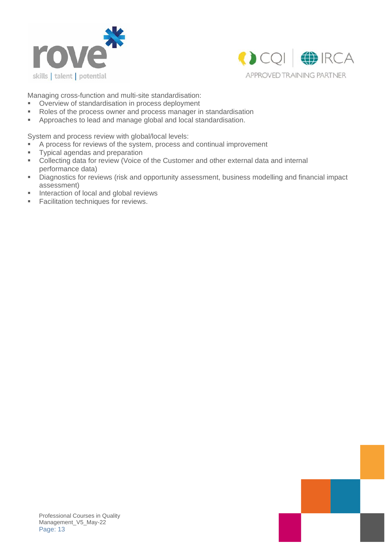



Managing cross-function and multi-site standardisation:

- Overview of standardisation in process deployment
- Roles of the process owner and process manager in standardisation
- Approaches to lead and manage global and local standardisation.

System and process review with global/local levels:

- A process for reviews of the system, process and continual improvement
- **•** Typical agendas and preparation
- Collecting data for review (Voice of the Customer and other external data and internal performance data)
- Diagnostics for reviews (risk and opportunity assessment, business modelling and financial impact assessment)
- Interaction of local and global reviews
- **EXEC** Facilitation techniques for reviews.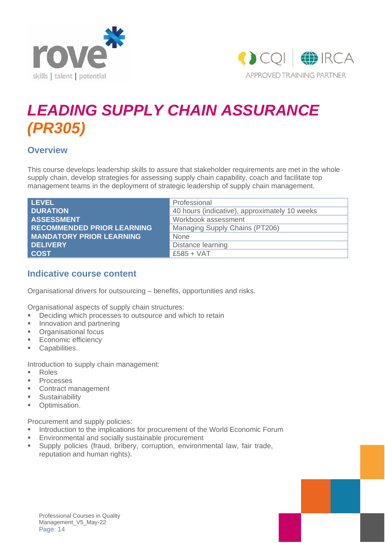



### *LEADING SUPPLY CHAIN ASSURANCE (PR305)*

#### **Overview**

This course develops leadership skills to assure that stakeholder requirements are met in the whole supply chain, develop strategies for assessing supply chain capability, coach and facilitate top management teams in the deployment of strategic leadership of supply chain management.

| <b>LEVEL</b>                      | Professional                                  |
|-----------------------------------|-----------------------------------------------|
| <b>DURATION</b>                   | 40 hours (indicative), approximately 10 weeks |
| <b>ASSESSMENT</b>                 | Workbook assessment                           |
| <b>RECOMMENDED PRIOR LEARNING</b> | Managing Supply Chains (PT206)                |
| <b>MANDATORY PRIOR LEARNING</b>   | <b>None</b>                                   |
| <b>DELIVERY</b>                   | Distance learning                             |
| <b>COST</b>                       | $£585 + VAT$                                  |

#### **Indicative course content**

Organisational drivers for outsourcing – benefits, opportunities and risks.

Organisational aspects of supply chain structures:

- Deciding which processes to outsource and which to retain
- **■** Innovation and partnering
- Organisational focus
- **Economic efficiency**
- Capabilities.

Introduction to supply chain management:

- Roles
- Processes
- Contract management
- **■** Sustainability
- Optimisation.

Procurement and supply policies:

- **■** Introduction to the implications for procurement of the World Economic Forum
- Environmental and socially sustainable procurement
- **EXECT Supply policies (fraud, bribery, corruption, environmental law, fair trade,** reputation and human rights).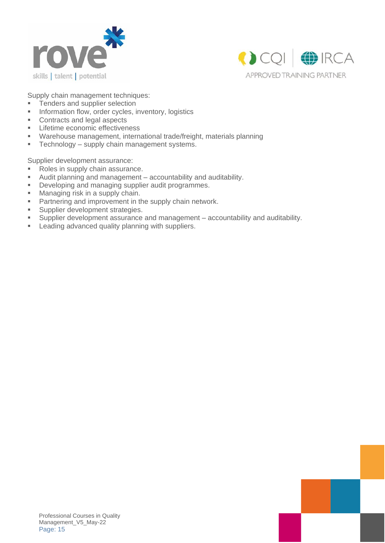



Supply chain management techniques:

- **EXECUTE:** Tenders and supplier selection
- **EXECUTE:** Information flow, order cycles, inventory, logistics
- Contracts and legal aspects
- **EXECUTE:** Lifetime economic effectiveness
- Warehouse management, international trade/freight, materials planning
- **Technology supply chain management systems.**

Supplier development assurance:

- Roles in supply chain assurance.
- Audit planning and management accountability and auditability.
- **Developing and managing supplier audit programmes.**
- Managing risk in a supply chain.
- **EXECT** Partnering and improvement in the supply chain network.
- **EXECUTE:** Supplier development strategies.
- Supplier development assurance and management accountability and auditability.
- **EXECTED EXECTED LEADING Leading advanced quality planning with suppliers.**

Page: 15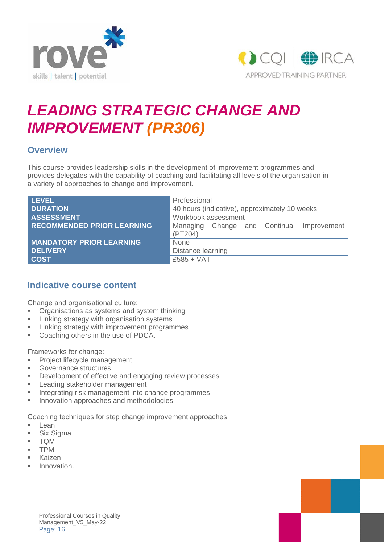



### *LEADING STRATEGIC CHANGE AND IMPROVEMENT (PR306)*

#### **Overview**

This course provides leadership skills in the development of improvement programmes and provides delegates with the capability of coaching and facilitating all levels of the organisation in a variety of approaches to change and improvement.

| <b>LEVEL</b>                      | Professional                                         |  |
|-----------------------------------|------------------------------------------------------|--|
| <b>DURATION</b>                   | 40 hours (indicative), approximately 10 weeks        |  |
| <b>ASSESSMENT</b>                 | Workbook assessment                                  |  |
| <b>RECOMMENDED PRIOR LEARNING</b> | Managing Change and Continual Improvement<br>(PT204) |  |
| <b>MANDATORY PRIOR LEARNING</b>   | None                                                 |  |
| <b>DELIVERY</b>                   | Distance learning                                    |  |
| <b>COST</b>                       | $£585 + VAT$                                         |  |

#### **Indicative course content**

Change and organisational culture:

- **Organisations as systems and system thinking**
- **EXECT:** Linking strategy with organisation systems
- **EXECT** Linking strategy with improvement programmes
- Coaching others in the use of PDCA.

Frameworks for change:

- **•** Project lifecycle management
- Governance structures
- **•** Development of effective and engaging review processes
- **EXEC** Leading stakeholder management
- Integrating risk management into change programmes
- **■** Innovation approaches and methodologies.

Coaching techniques for step change improvement approaches:

- Lean
- Six Sigma
- TQM
- TPM
- Kaizen
- Innovation.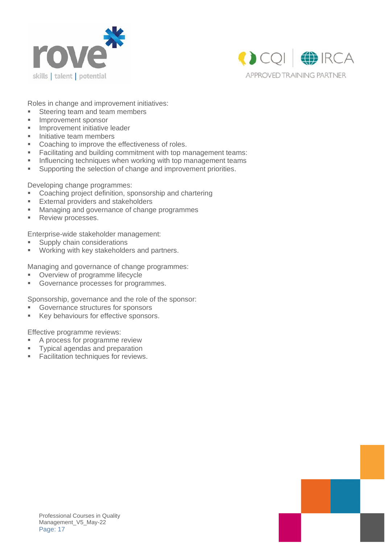



Roles in change and improvement initiatives:

- Steering team and team members
- **■** Improvement sponsor
- **■** Improvement initiative leader
- **■** Initiative team members
- Coaching to improve the effectiveness of roles.
- Facilitating and building commitment with top management teams:
- **EXEDENTIFY Influencing techniques when working with top management teams**
- Supporting the selection of change and improvement priorities.

Developing change programmes:

- Coaching project definition, sponsorship and chartering
- **External providers and stakeholders**
- Managing and governance of change programmes
- Review processes.

Enterprise-wide stakeholder management:

- **E** Supply chain considerations<br>**EXECUTE:** Working with key stakeholder
- Working with key stakeholders and partners.

Managing and governance of change programmes:

- Overview of programme lifecycle
- Governance processes for programmes.

Sponsorship, governance and the role of the sponsor:

- Governance structures for sponsors
- Key behaviours for effective sponsors.

Effective programme reviews:

- A process for programme review
- **•** Typical agendas and preparation
- Facilitation techniques for reviews.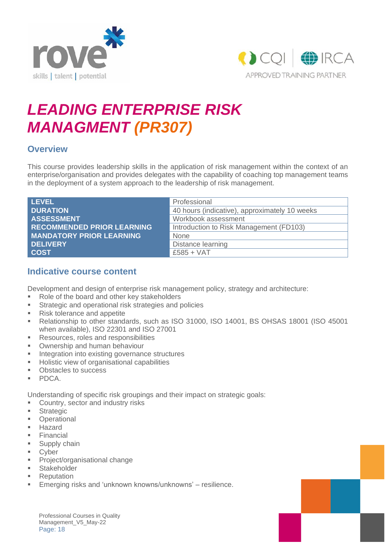



### *LEADING ENTERPRISE RISK MANAGMENT (PR307)*

#### **Overview**

This course provides leadership skills in the application of risk management within the context of an enterprise/organisation and provides delegates with the capability of coaching top management teams in the deployment of a system approach to the leadership of risk management.

| <b>LEVEL</b>                      | Professional                                  |
|-----------------------------------|-----------------------------------------------|
| <b>DURATION</b>                   | 40 hours (indicative), approximately 10 weeks |
| <b>ASSESSMENT</b>                 | Workbook assessment                           |
| <b>RECOMMENDED PRIOR LEARNING</b> | Introduction to Risk Management (FD103)       |
| <b>MANDATORY PRIOR LEARNING</b>   | None                                          |
| <b>DELIVERY</b>                   | Distance learning                             |
| <b>COST</b>                       | $£585 + VAT$                                  |

#### **Indicative course content**

Development and design of enterprise risk management policy, strategy and architecture:

- Role of the board and other key stakeholders
- **EXECUTE:** Strategic and operational risk strategies and policies
- Risk tolerance and appetite
- Relationship to other standards, such as ISO 31000, ISO 14001, BS OHSAS 18001 (ISO 45001 when available), ISO 22301 and ISO 27001
- Resources, roles and responsibilities
- **Ownership and human behaviour**
- **■** Integration into existing governance structures
- Holistic view of organisational capabilities
- Obstacles to success
- PDCA.

Understanding of specific risk groupings and their impact on strategic goals:

- Country, sector and industry risks
- Strategic
- Operational
- Hazard
- **Einancial**
- Supply chain
- Cyber
- **•** Project/organisational change
- **■** Stakeholder
- Reputation
- Emerging risks and 'unknown knowns/unknowns' resilience.

Professional Courses in Quality Management\_V5\_May-22 Page: 18